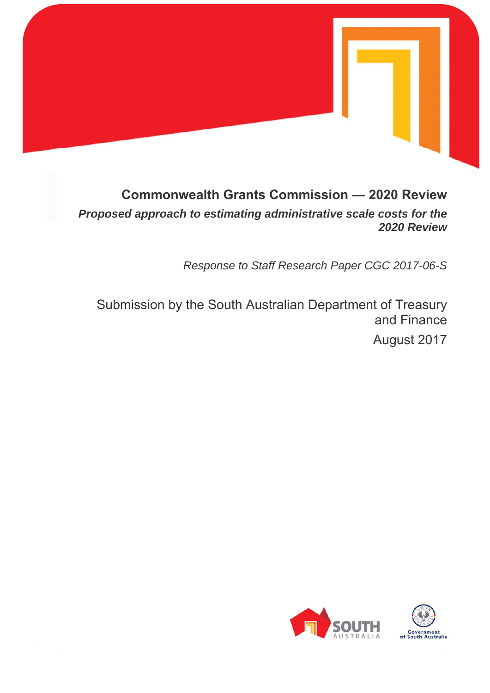

# **Commonwealth Grants Commission — 2020 Review**

*Proposed approach to estimating administrative scale costs for the 2020 Review* 

*Response to Staff Research Paper CGC 2017-06-S* 

Submission by the South Australian Department of Treasury and Finance August 2017

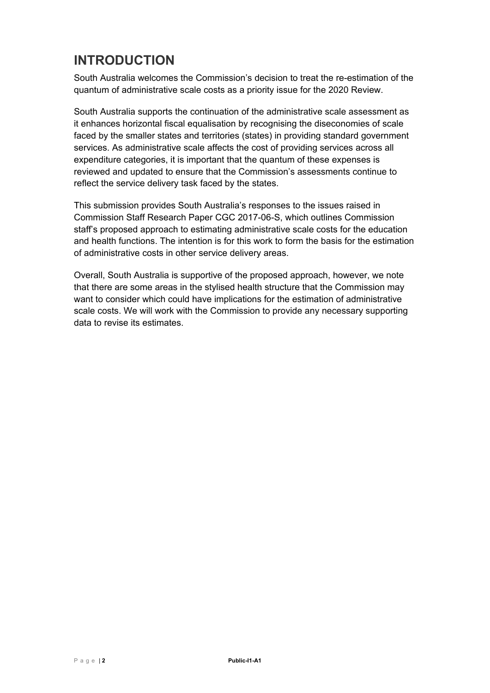## **INTRODUCTION**

South Australia welcomes the Commission's decision to treat the re-estimation of the quantum of administrative scale costs as a priority issue for the 2020 Review.

South Australia supports the continuation of the administrative scale assessment as it enhances horizontal fiscal equalisation by recognising the diseconomies of scale faced by the smaller states and territories (states) in providing standard government services. As administrative scale affects the cost of providing services across all expenditure categories, it is important that the quantum of these expenses is reviewed and updated to ensure that the Commission's assessments continue to reflect the service delivery task faced by the states.

This submission provides South Australia's responses to the issues raised in Commission Staff Research Paper CGC 2017-06-S, which outlines Commission staff's proposed approach to estimating administrative scale costs for the education and health functions. The intention is for this work to form the basis for the estimation of administrative costs in other service delivery areas.

Overall, South Australia is supportive of the proposed approach, however, we note that there are some areas in the stylised health structure that the Commission may want to consider which could have implications for the estimation of administrative scale costs. We will work with the Commission to provide any necessary supporting data to revise its estimates.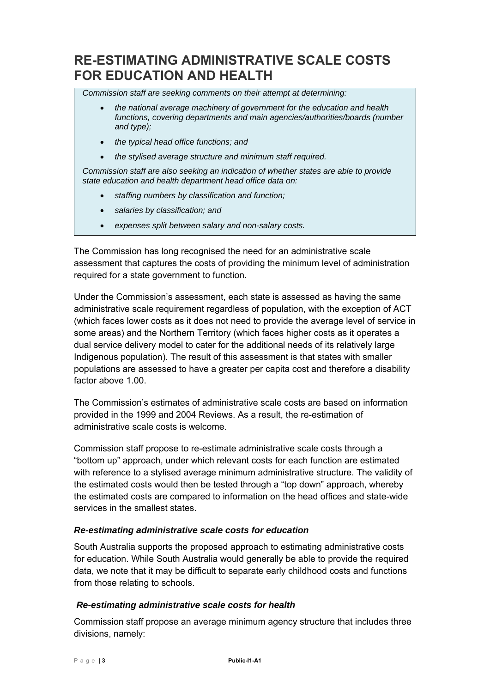### **RE-ESTIMATING ADMINISTRATIVE SCALE COSTS FOR EDUCATION AND HEALTH**

*Commission staff are seeking comments on their attempt at determining:* 

- *the national average machinery of government for the education and health functions, covering departments and main agencies/authorities/boards (number and type);*
- *the typical head office functions; and*
- *the stylised average structure and minimum staff required.*

*Commission staff are also seeking an indication of whether states are able to provide state education and health department head office data on:* 

- *staffing numbers by classification and function;*
- *salaries by classification; and*
- *expenses split between salary and non-salary costs.*

The Commission has long recognised the need for an administrative scale assessment that captures the costs of providing the minimum level of administration required for a state government to function.

Under the Commission's assessment, each state is assessed as having the same administrative scale requirement regardless of population, with the exception of ACT (which faces lower costs as it does not need to provide the average level of service in some areas) and the Northern Territory (which faces higher costs as it operates a dual service delivery model to cater for the additional needs of its relatively large Indigenous population). The result of this assessment is that states with smaller populations are assessed to have a greater per capita cost and therefore a disability factor above 1.00.

The Commission's estimates of administrative scale costs are based on information provided in the 1999 and 2004 Reviews. As a result, the re-estimation of administrative scale costs is welcome.

Commission staff propose to re-estimate administrative scale costs through a "bottom up" approach, under which relevant costs for each function are estimated with reference to a stylised average minimum administrative structure. The validity of the estimated costs would then be tested through a "top down" approach, whereby the estimated costs are compared to information on the head offices and state-wide services in the smallest states.

#### *Re-estimating administrative scale costs for education*

South Australia supports the proposed approach to estimating administrative costs for education. While South Australia would generally be able to provide the required data, we note that it may be difficult to separate early childhood costs and functions from those relating to schools.

#### *Re-estimating administrative scale costs for health*

Commission staff propose an average minimum agency structure that includes three divisions, namely: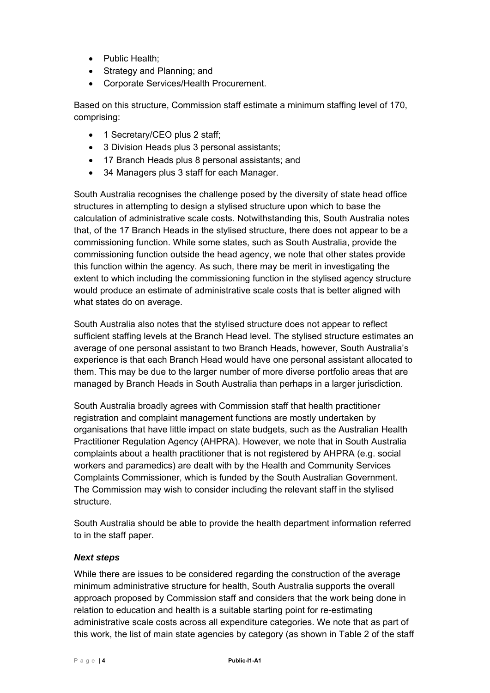- Public Health;
- Strategy and Planning; and
- Corporate Services/Health Procurement.

Based on this structure, Commission staff estimate a minimum staffing level of 170, comprising:

- 1 Secretary/CEO plus 2 staff;
- 3 Division Heads plus 3 personal assistants;
- 17 Branch Heads plus 8 personal assistants; and
- 34 Managers plus 3 staff for each Manager.

South Australia recognises the challenge posed by the diversity of state head office structures in attempting to design a stylised structure upon which to base the calculation of administrative scale costs. Notwithstanding this, South Australia notes that, of the 17 Branch Heads in the stylised structure, there does not appear to be a commissioning function. While some states, such as South Australia, provide the commissioning function outside the head agency, we note that other states provide this function within the agency. As such, there may be merit in investigating the extent to which including the commissioning function in the stylised agency structure would produce an estimate of administrative scale costs that is better aligned with what states do on average.

South Australia also notes that the stylised structure does not appear to reflect sufficient staffing levels at the Branch Head level. The stylised structure estimates an average of one personal assistant to two Branch Heads, however, South Australia's experience is that each Branch Head would have one personal assistant allocated to them. This may be due to the larger number of more diverse portfolio areas that are managed by Branch Heads in South Australia than perhaps in a larger jurisdiction.

South Australia broadly agrees with Commission staff that health practitioner registration and complaint management functions are mostly undertaken by organisations that have little impact on state budgets, such as the Australian Health Practitioner Regulation Agency (AHPRA). However, we note that in South Australia complaints about a health practitioner that is not registered by AHPRA (e.g. social workers and paramedics) are dealt with by the Health and Community Services Complaints Commissioner, which is funded by the South Australian Government. The Commission may wish to consider including the relevant staff in the stylised structure.

South Australia should be able to provide the health department information referred to in the staff paper.

#### *Next steps*

While there are issues to be considered regarding the construction of the average minimum administrative structure for health, South Australia supports the overall approach proposed by Commission staff and considers that the work being done in relation to education and health is a suitable starting point for re-estimating administrative scale costs across all expenditure categories. We note that as part of this work, the list of main state agencies by category (as shown in Table 2 of the staff